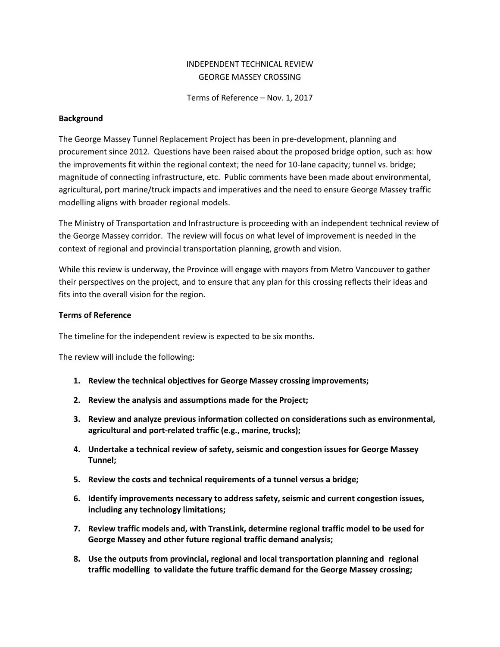### INDEPENDENT TECHNICAL REVIEW GEORGE MASSEY CROSSING

Terms of Reference – Nov. 1, 2017

#### **Background**

The George Massey Tunnel Replacement Project has been in pre-development, planning and procurement since 2012. Questions have been raised about the proposed bridge option, such as: how the improvements fit within the regional context; the need for 10-lane capacity; tunnel vs. bridge; magnitude of connecting infrastructure, etc. Public comments have been made about environmental, agricultural, port marine/truck impacts and imperatives and the need to ensure George Massey traffic modelling aligns with broader regional models.

The Ministry of Transportation and Infrastructure is proceeding with an independent technical review of the George Massey corridor. The review will focus on what level of improvement is needed in the context of regional and provincial transportation planning, growth and vision.

While this review is underway, the Province will engage with mayors from Metro Vancouver to gather their perspectives on the project, and to ensure that any plan for this crossing reflects their ideas and fits into the overall vision for the region.

### **Terms of Reference**

The timeline for the independent review is expected to be six months.

The review will include the following:

- **1. Review the technical objectives for George Massey crossing improvements;**
- **2. Review the analysis and assumptions made for the Project;**
- **3. Review and analyze previous information collected on considerations such as environmental, agricultural and port-related traffic (e.g., marine, trucks);**
- **4. Undertake a technical review of safety, seismic and congestion issues for George Massey Tunnel;**
- **5. Review the costs and technical requirements of a tunnel versus a bridge;**
- **6. Identify improvements necessary to address safety, seismic and current congestion issues, including any technology limitations;**
- **7. Review traffic models and, with TransLink, determine regional traffic model to be used for George Massey and other future regional traffic demand analysis;**
- **8. Use the outputs from provincial, regional and local transportation planning and regional traffic modelling to validate the future traffic demand for the George Massey crossing;**